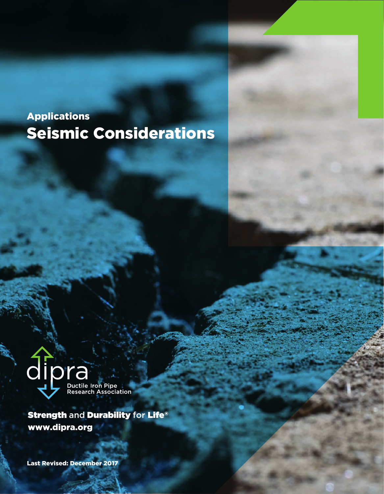# Applications Seismic Considerations



**Strength and Durability for Life®** www.dipra.org

Last Revised: December 2017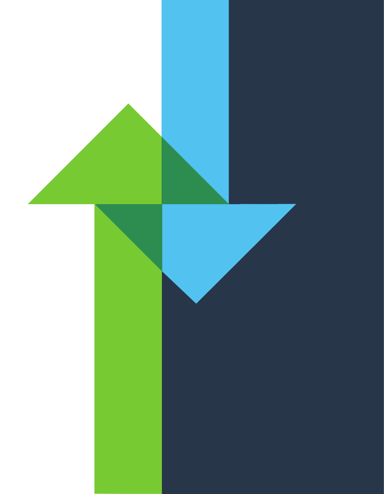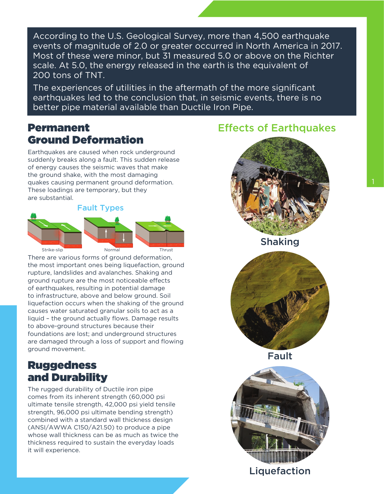According to the U.S. Geological Survey, more than 4,500 earthquake events of magnitude of 2.0 or greater occurred in North America in 2017. Most of these were minor, but 31 measured 5.0 or above on the Richter scale. At 5.0, the energy released in the earth is the equivalent of 200 tons of TNT.

The experiences of utilities in the aftermath of the more significant earthquakes led to the conclusion that, in seismic events, there is no better pipe material available than Ductile Iron Pipe.

### Permanent Ground Deformation

Earthquakes are caused when rock underground suddenly breaks along a fault. This sudden release of energy causes the seismic waves that make the ground shake, with the most damaging quakes causing permanent ground deformation. These loadings are temporary, but they are substantial.

#### Fault Types



There are various forms of ground deformation, the most important ones being liquefaction, ground rupture, landslides and avalanches. Shaking and ground rupture are the most noticeable effects of earthquakes, resulting in potential damage to infrastructure, above and below ground. Soil liquefaction occurs when the shaking of the ground causes water saturated granular soils to act as a liquid – the ground actually flows. Damage results to above-ground structures because their foundations are lost; and underground structures are damaged through a loss of support and flowing ground movement.

# Ruggedness and Durability

The rugged durability of Ductile iron pipe comes from its inherent strength (60,000 psi ultimate tensile strength, 42,000 psi yield tensile strength, 96,000 psi ultimate bending strength) combined with a standard wall thickness design (ANSI/AWWA C150/A21.50) to produce a pipe whose wall thickness can be as much as twice the thickness required to sustain the everyday loads it will experience.

### Effects of Earthquakes



Shaking



Fault

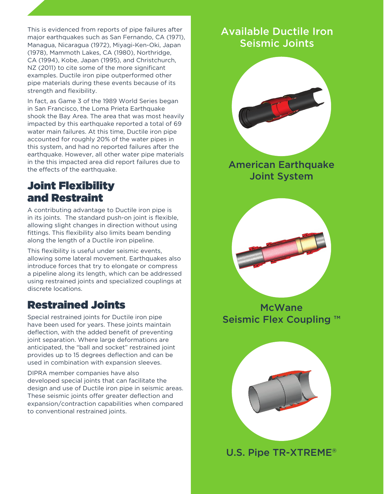This is evidenced from reports of pipe failures after major earthquakes such as San Fernando, CA (1971), Managua, Nicaragua (1972), Miyagi-Ken-Oki, Japan (1978), Mammoth Lakes, CA (1980), Northridge, CA (1994), Kobe, Japan (1995), and Christchurch, NZ (2011) to cite some of the more significant examples. Ductile iron pipe outperformed other pipe materials during these events because of its strength and flexibility.

In fact, as Game 3 of the 1989 World Series began in San Francisco, the Loma Prieta Earthquake shook the Bay Area. The area that was most heavily impacted by this earthquake reported a total of 69 water main failures. At this time, Ductile iron pipe accounted for roughly 20% of the water pipes in this system, and had no reported failures after the earthquake. However, all other water pipe materials in the this impacted area did report failures due to the effects of the earthquake.

# Joint Flexibility and Restraint

A contributing advantage to Ductile iron pipe is in its joints. The standard push-on joint is flexible, allowing slight changes in direction without using fittings. This flexibility also limits beam bending along the length of a Ductile iron pipeline.

This flexibility is useful under seismic events, allowing some lateral movement. Earthquakes also introduce forces that try to elongate or compress a pipeline along its length, which can be addressed using restrained joints and specialized couplings at discrete locations.

# Restrained Joints

Special restrained joints for Ductile iron pipe have been used for years. These joints maintain deflection, with the added benefit of preventing joint separation. Where large deformations are anticipated, the "ball and socket" restrained joint provides up to 15 degrees deflection and can be used in combination with expansion sleeves.

DIPRA member companies have also developed special joints that can facilitate the design and use of Ductile iron pipe in seismic areas. These seismic joints offer greater deflection and expansion/contraction capabilities when compared to conventional restrained joints.

### Available Ductile Iron Seismic Joints



American Earthquake Joint System



McWane Seismic Flex Coupling ™



U.S. Pipe TR-XTREME®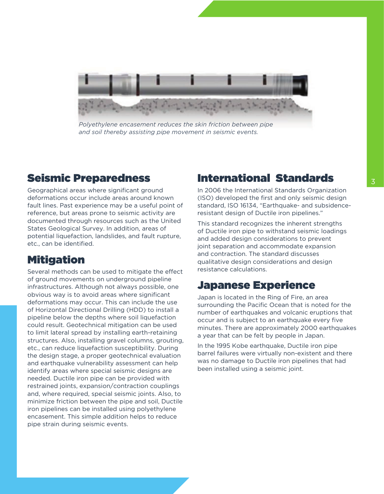

*Polyethylene encasement reduces the skin friction between pipe and soil thereby assisting pipe movement in seismic events.*

### Seismic Preparedness

Geographical areas where significant ground deformations occur include areas around known fault lines. Past experience may be a useful point of reference, but areas prone to seismic activity are documented through resources such as the United States Geological Survey. In addition, areas of potential liquefaction, landslides, and fault rupture, etc., can be identified.

### Mitigation

Several methods can be used to mitigate the effect of ground movements on underground pipeline infrastructures. Although not always possible, one obvious way is to avoid areas where significant deformations may occur. This can include the use of Horizontal Directional Drilling (HDD) to install a pipeline below the depths where soil liquefaction could result. Geotechnical mitigation can be used to limit lateral spread by installing earth-retaining structures. Also, installing gravel columns, grouting, etc., can reduce liquefaction susceptibility. During the design stage, a proper geotechnical evaluation and earthquake vulnerability assessment can help identify areas where special seismic designs are needed. Ductile iron pipe can be provided with restrained joints, expansion/contraction couplings and, where required, special seismic joints. Also, to minimize friction between the pipe and soil, Ductile iron pipelines can be installed using polyethylene encasement. This simple addition helps to reduce pipe strain during seismic events.

# International Standards

In 2006 the International Standards Organization (ISO) developed the first and only seismic design standard, ISO 16134, "Earthquake- and subsidenceresistant design of Ductile iron pipelines."

This standard recognizes the inherent strengths of Ductile iron pipe to withstand seismic loadings and added design considerations to prevent joint separation and accommodate expansion and contraction. The standard discusses qualitative design considerations and design resistance calculations.

### Japanese Experience

Japan is located in the Ring of Fire, an area surrounding the Pacific Ocean that is noted for the number of earthquakes and volcanic eruptions that occur and is subject to an earthquake every five minutes. There are approximately 2000 earthquakes a year that can be felt by people in Japan.

In the 1995 Kobe earthquake, Ductile iron pipe barrel failures were virtually non-existent and there was no damage to Ductile iron pipelines that had been installed using a seismic joint.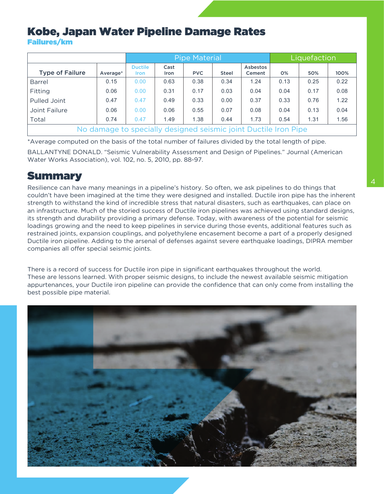# Kobe, Japan Water Pipeline Damage Rates

Failures/km

|                                                                 |          | <b>Pipe Material</b>          |                     |            |              |                    | <b>Liquefaction</b> |      |      |
|-----------------------------------------------------------------|----------|-------------------------------|---------------------|------------|--------------|--------------------|---------------------|------|------|
| <b>Type of Failure</b>                                          | Average* | <b>Ductile</b><br><b>Iron</b> | Cast<br><b>Iron</b> | <b>PVC</b> | <b>Steel</b> | Asbestos<br>Cement | 0%                  | 50%  | 100% |
| Barrel                                                          | 0.15     | 0.00                          | 0.63                | 0.38       | 0.34         | 1.24               | 0.13                | 0.25 | 0.22 |
| Fitting                                                         | 0.06     | 0.00                          | 0.31                | 0.17       | 0.03         | 0.04               | 0.04                | 0.17 | 0.08 |
| Pulled Joint                                                    | 0.47     | 0.47                          | 0.49                | 0.33       | 0.00         | 0.37               | 0.33                | 0.76 | 1.22 |
| Joint Failure                                                   | 0.06     | 0.00                          | 0.06                | 0.55       | 0.07         | 0.08               | 0.04                | 0.13 | 0.04 |
| Total                                                           | 0.74     | 0.47                          | 1.49                | 1.38       | 0.44         | 1.73               | 0.54                | 1.31 | 1.56 |
| No damage to specially designed seismic joint Ductile Iron Pipe |          |                               |                     |            |              |                    |                     |      |      |

\*Average computed on the basis of the total number of failures divided by the total length of pipe.

BALLANTYNE DONALD. "Seismic Vulnerability Assessment and Design of Pipelines." Journal (American Water Works Association), vol. 102, no. 5, 2010, pp. 88-97.

### **Summary**

Resilience can have many meanings in a pipeline's history. So often, we ask pipelines to do things that couldn't have been imagined at the time they were designed and installed. Ductile iron pipe has the inherent strength to withstand the kind of incredible stress that natural disasters, such as earthquakes, can place on an infrastructure. Much of the storied success of Ductile iron pipelines was achieved using standard designs, its strength and durability providing a primary defense. Today, with awareness of the potential for seismic loadings growing and the need to keep pipelines in service during those events, additional features such as restrained joints, expansion couplings, and polyethylene encasement become a part of a properly designed Ductile iron pipeline. Adding to the arsenal of defenses against severe earthquake loadings, DIPRA member companies all offer special seismic joints.

There is a record of success for Ductile iron pipe in significant earthquakes throughout the world. These are lessons learned. With proper seismic designs, to include the newest available seismic mitigation appurtenances, your Ductile iron pipeline can provide the confidence that can only come from installing the best possible pipe material.

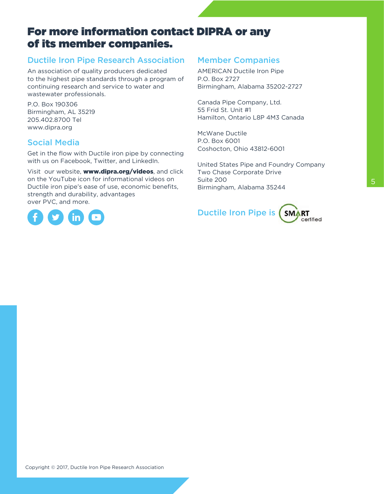### For more information contact DIPRA or any of its member companies.

#### Ductile Iron Pipe Research Association

An association of quality producers dedicated to the highest pipe standards through a program of continuing research and service to water and wastewater professionals.

P.O. Box 190306 Birmingham, AL 35219 205.402.8700 Tel www.dipra.org

#### Social Media

Get in the flow with Ductile iron pipe by connecting with us on Facebook, Twitter, and LinkedIn.

Visit our website, **www.dipra.org/videos**, and click on the YouTube icon for informational videos on Ductile iron pipe's ease of use, economic benefits, strength and durability, advantages over PVC, and more.



#### Member Companies

AMERICAN Ductile Iron Pipe P.O. Box 2727 Birmingham, Alabama 35202-2727

Canada Pipe Company, Ltd. 55 Frid St. Unit #1 Hamilton, Ontario L8P 4M3 Canada

McWane Ductile P.O. Box 6001 Coshocton, Ohio 43812-6001

United States Pipe and Foundry Company Two Chase Corporate Drive Suite 200 Birmingham, Alabama 35244